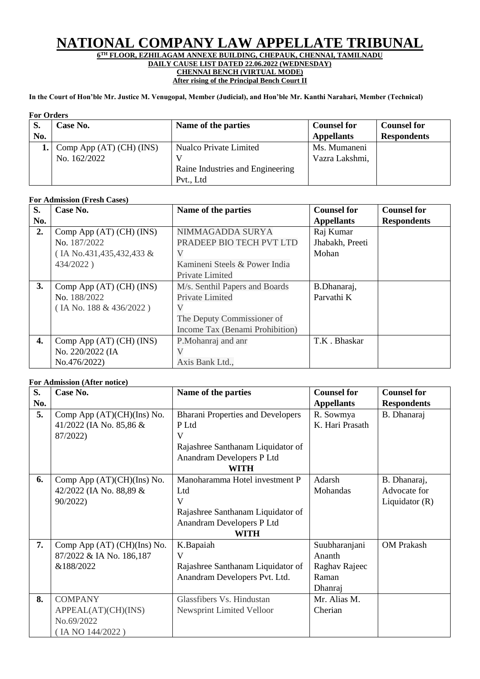# **NATIONAL COMPANY LAW APPELLATE TRIBUNAL**

#### **6 TH FLOOR, EZHILAGAM ANNEXE BUILDING, CHEPAUK, CHENNAI, TAMILNADU DAILY CAUSE LIST DATED 22.06.2022 (WEDNESDAY) CHENNAI BENCH (VIRTUAL MODE)**

**After rising of the Principal Bench Court II**

**In the Court of Hon'ble Mr. Justice M. Venugopal, Member (Judicial), and Hon'ble Mr. Kanthi Narahari, Member (Technical)**

#### **For Orders**

| тог улчегу |                                |                                  |                    |                    |  |
|------------|--------------------------------|----------------------------------|--------------------|--------------------|--|
| S.         | Case No.                       | Name of the parties              | <b>Counsel for</b> | <b>Counsel for</b> |  |
| No.        |                                |                                  | <b>Appellants</b>  | <b>Respondents</b> |  |
|            | Comp App $(AT)$ $(CH)$ $(INS)$ | Nualco Private Limited           | Ms. Mumaneni       |                    |  |
|            | No. 162/2022                   |                                  | Vazra Lakshmi,     |                    |  |
|            |                                | Raine Industries and Engineering |                    |                    |  |
|            |                                | Pvt., Ltd                        |                    |                    |  |

### **For Admission (Fresh Cases)**

| S.  | Case No.                       | Name of the parties             | <b>Counsel for</b> | <b>Counsel for</b> |
|-----|--------------------------------|---------------------------------|--------------------|--------------------|
| No. |                                |                                 | <b>Appellants</b>  | <b>Respondents</b> |
| 2.  | Comp App (AT) (CH) (INS)       | NIMMAGADDA SURYA                | Raj Kumar          |                    |
|     | No. 187/2022                   | PRADEEP BIO TECH PVT LTD        | Jhabakh, Preeti    |                    |
|     | (IA No.431, 435, 432, 433 &    |                                 | Mohan              |                    |
|     | 434/2022)                      | Kamineni Steels & Power India   |                    |                    |
|     |                                | Private Limited                 |                    |                    |
| 3.  | Comp App (AT) (CH) (INS)       | M/s. Senthil Papers and Boards  | B.Dhanaraj,        |                    |
|     | No. 188/2022                   | Private Limited                 | Parvathi K         |                    |
|     | (IA No. 188 & 436/2022)        |                                 |                    |                    |
|     |                                | The Deputy Commissioner of      |                    |                    |
|     |                                | Income Tax (Benami Prohibition) |                    |                    |
| 4.  | Comp App $(AT)$ $(CH)$ $(INS)$ | P.Mohanraj and anr              | T.K. Bhaskar       |                    |
|     | No. 220/2022 (IA               |                                 |                    |                    |
|     | No.476/2022)                   | Axis Bank Ltd.,                 |                    |                    |

## **For Admission (After notice)**

| S.  | Case No.                    | Name of the parties                      | <b>Counsel for</b> | <b>Counsel for</b> |
|-----|-----------------------------|------------------------------------------|--------------------|--------------------|
| No. |                             |                                          | <b>Appellants</b>  | <b>Respondents</b> |
| 5.  | Comp App (AT)(CH)(Ins) No.  | <b>Bharani Properties and Developers</b> | R. Sowmya          | B. Dhanaraj        |
|     | 41/2022 (IA No. 85,86 &     | P Ltd                                    | K. Hari Prasath    |                    |
|     | 87/2022)                    | V                                        |                    |                    |
|     |                             | Rajashree Santhanam Liquidator of        |                    |                    |
|     |                             | Anandram Developers P Ltd                |                    |                    |
|     |                             | WITH                                     |                    |                    |
| 6.  | Comp App (AT)(CH)(Ins) No.  | Manoharamma Hotel investment P           | Adarsh             | B. Dhanaraj,       |
|     | 42/2022 (IA No. 88,89 &     | Ltd                                      | Mohandas           | Advocate for       |
|     | 90/2022)                    | V                                        |                    | Liquidator $(R)$   |
|     |                             | Rajashree Santhanam Liquidator of        |                    |                    |
|     |                             | Anandram Developers P Ltd                |                    |                    |
|     |                             | <b>WITH</b>                              |                    |                    |
| 7.  | Comp App (AT) (CH)(Ins) No. | K.Bapaiah                                | Suubharanjani      | <b>OM Prakash</b>  |
|     | 87/2022 & IA No. 186,187    | V                                        | Ananth             |                    |
|     | &188/2022                   | Rajashree Santhanam Liquidator of        | Raghav Rajeec      |                    |
|     |                             | Anandram Developers Pvt. Ltd.            | Raman              |                    |
|     |                             |                                          | Dhanraj            |                    |
| 8.  | <b>COMPANY</b>              | Glassfibers Vs. Hindustan                | Mr. Alias M.       |                    |
|     | APPEAL(AT)(CH)(INS)         | Newsprint Limited Velloor                | Cherian            |                    |
|     | No.69/2022                  |                                          |                    |                    |
|     | (IA NO 144/2022)            |                                          |                    |                    |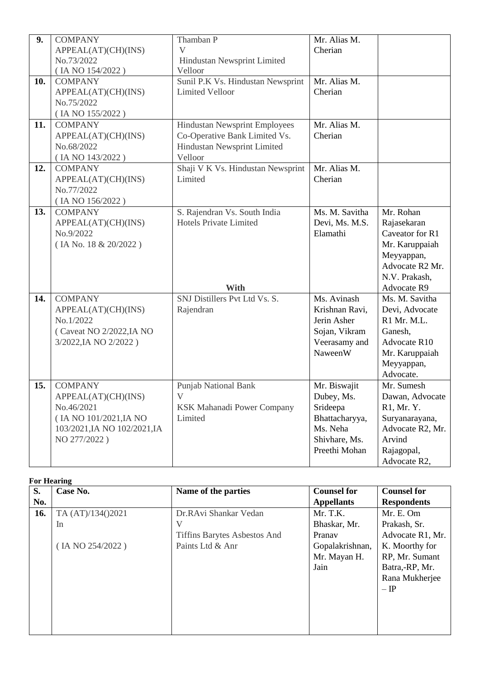| 9.  | <b>COMPANY</b>                     | Thamban P                                                     | Mr. Alias M.   |                             |
|-----|------------------------------------|---------------------------------------------------------------|----------------|-----------------------------|
|     | APPEAL(AT)(CH)(INS)                | $\mathbf V$                                                   | Cherian        |                             |
|     | No.73/2022                         | Hindustan Newsprint Limited                                   |                |                             |
|     | (IA NO 154/2022)                   | Velloor                                                       |                |                             |
| 10. | <b>COMPANY</b>                     | Sunil P.K Vs. Hindustan Newsprint                             | Mr. Alias M.   |                             |
|     | APPEAL(AT)(CH)(INS)                | <b>Limited Velloor</b>                                        | Cherian        |                             |
|     | No.75/2022                         |                                                               |                |                             |
|     | (IA NO 155/2022)                   |                                                               |                |                             |
| 11. | <b>COMPANY</b>                     | Hindustan Newsprint Employees                                 | Mr. Alias M.   |                             |
|     | APPEAL(AT)(CH)(INS)                | Co-Operative Bank Limited Vs.                                 | Cherian        |                             |
|     | No.68/2022                         | Hindustan Newsprint Limited                                   |                |                             |
|     | (IA NO 143/2022)                   | Velloor                                                       |                |                             |
| 12. | <b>COMPANY</b>                     | Shaji V K Vs. Hindustan Newsprint                             | Mr. Alias M.   |                             |
|     | APPEAL(AT)(CH)(INS)                | Limited                                                       | Cherian        |                             |
|     | No.77/2022                         |                                                               |                |                             |
| 13. | (IA NO 156/2022)<br><b>COMPANY</b> |                                                               | Ms. M. Savitha | Mr. Rohan                   |
|     |                                    | S. Rajendran Vs. South India<br><b>Hotels Private Limited</b> | Devi, Ms. M.S. | Rajasekaran                 |
|     | APPEAL(AT)(CH)(INS)<br>No.9/2022   |                                                               | Elamathi       | Caveator for R1             |
|     | (IA No. 18 & 20/2022)              |                                                               |                | Mr. Karuppaiah              |
|     |                                    |                                                               |                | Meyyappan,                  |
|     |                                    |                                                               |                | Advocate R <sub>2</sub> Mr. |
|     |                                    |                                                               |                | N.V. Prakash,               |
|     |                                    | <b>With</b>                                                   |                | <b>Advocate R9</b>          |
| 14. | <b>COMPANY</b>                     | SNJ Distillers Pvt Ltd Vs. S.                                 | Ms. Avinash    | Ms. M. Savitha              |
|     | APPEAL(AT)(CH)(INS)                | Rajendran                                                     | Krishnan Ravi, | Devi, Advocate              |
|     | No.1/2022                          |                                                               | Jerin Asher    | R1 Mr. M.L.                 |
|     | (Caveat NO 2/2022, IA NO           |                                                               | Sojan, Vikram  | Ganesh,                     |
|     | 3/2022, IA NO 2/2022)              |                                                               | Veerasamy and  | Advocate R10                |
|     |                                    |                                                               | NaweenW        | Mr. Karuppaiah              |
|     |                                    |                                                               |                | Meyyappan,                  |
|     |                                    |                                                               |                | Advocate.                   |
| 15. | <b>COMPANY</b>                     | <b>Punjab National Bank</b>                                   | Mr. Biswajit   | Mr. Sumesh                  |
|     | APPEAL(AT)(CH)(INS)                | V                                                             | Dubey, Ms.     | Dawan, Advocate             |
|     | No.46/2021                         | KSK Mahanadi Power Company                                    | Srideepa       | R1, Mr. Y.                  |
|     | (IA NO 101/2021, IA NO             | Limited                                                       | Bhattacharyya, | Suryanarayana,              |
|     | 103/2021, IA NO 102/2021, IA       |                                                               | Ms. Neha       | Advocate R2, Mr.            |
|     | NO 277/2022)                       |                                                               | Shivhare, Ms.  | Arvind                      |
|     |                                    |                                                               | Preethi Mohan  | Rajagopal,                  |
|     |                                    |                                                               |                | Advocate R2,                |

# **For Hearing**

| S.  | Case No.          | Name of the parties                 | <b>Counsel for</b> | <b>Counsel for</b> |
|-----|-------------------|-------------------------------------|--------------------|--------------------|
| No. |                   |                                     | <b>Appellants</b>  | <b>Respondents</b> |
| 16. | TA (AT)/134()2021 | Dr.RAvi Shankar Vedan               | Mr. T.K.           | Mr. E. Om          |
|     | In                |                                     | Bhaskar, Mr.       | Prakash, Sr.       |
|     |                   | <b>Tiffins Barytes Asbestos And</b> | Pranav             | Advocate R1, Mr.   |
|     | (IA NO 254/2022)  | Paints Ltd & Anr                    | Gopalakrishnan,    | K. Moorthy for     |
|     |                   |                                     | Mr. Mayan H.       | RP, Mr. Sumant     |
|     |                   |                                     | Jain               | Batra,-RP, Mr.     |
|     |                   |                                     |                    | Rana Mukherjee     |
|     |                   |                                     |                    | $-\mathrm{IP}$     |
|     |                   |                                     |                    |                    |
|     |                   |                                     |                    |                    |
|     |                   |                                     |                    |                    |
|     |                   |                                     |                    |                    |